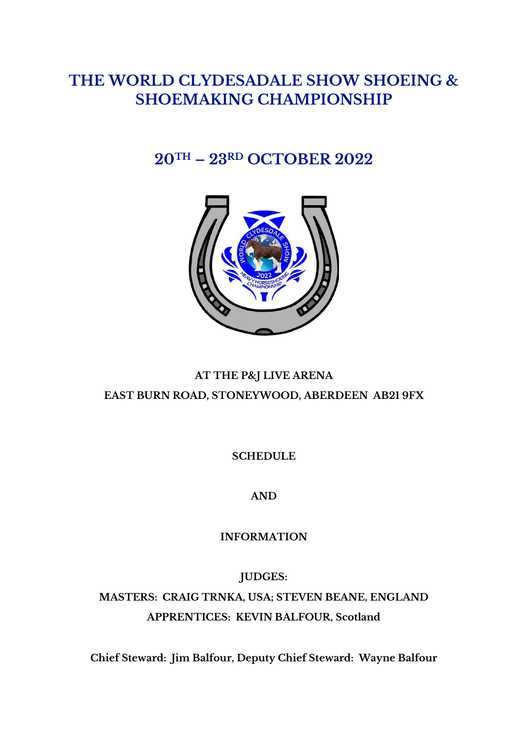# **THE WORLD CLYDESADALE SHOW SHOEING & SHOEMAKING CHAMPIONSHIP**

# **20TH – 23RD OCTOBER 2022**



# **AT THE P&J LIVE ARENA EAST BURN ROAD, STONEYWOOD, ABERDEEN AB21 9FX**

**SCHEDULE**

**AND**

**INFORMATION**

**JUDGES:**

**MASTERS: CRAIG TRNKA, USA; STEVEN BEANE, ENGLAND APPRENTICES: KEVIN BALFOUR, Scotland**

**Chief Steward: Jim Balfour, Deputy Chief Steward: Wayne Balfour**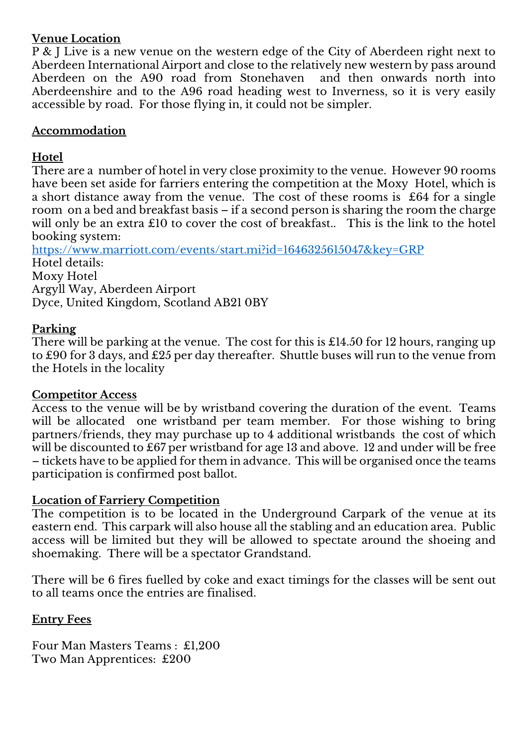### **Venue Location**

P & J Live is a new venue on the western edge of the City of Aberdeen right next to Aberdeen International Airport and close to the relatively new western by pass around Aberdeen on the A90 road from Stonehaven and then onwards north into Aberdeenshire and to the A96 road heading west to Inverness, so it is very easily accessible by road. For those flying in, it could not be simpler.

### **Accommodation**

# **Hotel**

There are a number of hotel in very close proximity to the venue. However 90 rooms have been set aside for farriers entering the competition at the Moxy Hotel, which is a short distance away from the venue. The cost of these rooms is £64 for a single room on a bed and breakfast basis – if a second person is sharing the room the charge will only be an extra £10 to cover the cost of breakfast.. This is the link to the hotel booking system:

<https://www.marriott.com/events/start.mi?id=1646325615047&key=GRP> Hotel details: Moxy Hotel Argyll Way, Aberdeen Airport Dyce, United Kingdom, Scotland AB21 0BY

#### **Parking**

There will be parking at the venue. The cost for this is £14.50 for 12 hours, ranging up to £90 for 3 days, and £25 per day thereafter. Shuttle buses will run to the venue from the Hotels in the locality

#### **Competitor Access**

Access to the venue will be by wristband covering the duration of the event. Teams will be allocated one wristband per team member. For those wishing to bring partners/friends, they may purchase up to 4 additional wristbands the cost of which will be discounted to £67 per wristband for age 13 and above. 12 and under will be free – tickets have to be applied for them in advance. This will be organised once the teams participation is confirmed post ballot.

#### **Location of Farriery Competition**

The competition is to be located in the Underground Carpark of the venue at its eastern end. This carpark will also house all the stabling and an education area. Public access will be limited but they will be allowed to spectate around the shoeing and shoemaking. There will be a spectator Grandstand.

There will be 6 fires fuelled by coke and exact timings for the classes will be sent out to all teams once the entries are finalised.

#### **Entry Fees**

Four Man Masters Teams : £1,200 Two Man Apprentices: £200